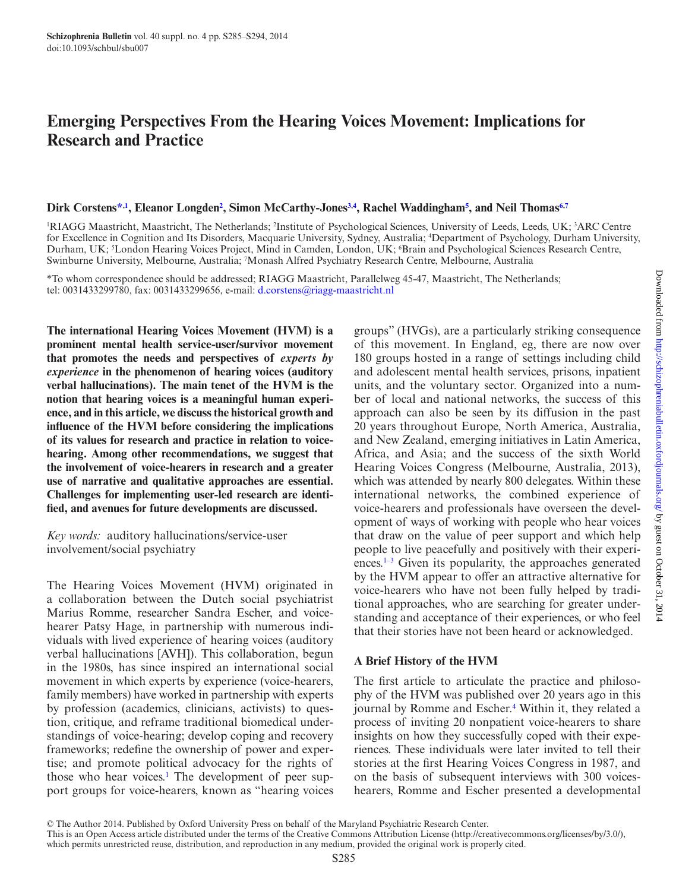# **Emerging Perspectives From the Hearing Voices Movement: Implications for Research and Practice**

### **Dirk Corstens[\\*,](#page-0-0)[1](#page-0-1) , Eleanor Longden[2](#page-0-2) , Simon McCarthy-Jone[s3,](#page-0-3)[4](#page-0-4) , Rachel Waddingham[5](#page-0-5) , and Neil Thomas[6](#page-0-6)[,7](#page-0-7)**

<span id="page-0-6"></span><span id="page-0-5"></span><span id="page-0-4"></span><span id="page-0-2"></span><span id="page-0-1"></span><sup>1</sup>RIAGG Maastricht, Maastricht, The Netherlands; <sup>2</sup>Institute of Psychological Sciences, University of Leeds, Leeds, UK; <sup>3</sup>ARC Centre for Excellence in Cognition and Its Disorders, Macquarie University, Sydney, Australia; 4 Department of Psychology, Durham University, Durham, UK; <sup>5</sup>London Hearing Voices Project, Mind in Camden, London, UK; <sup>6</sup>Brain and Psychological Sciences Research Centre, Swinburne University, Melbourne, Australia; 7 Monash Alfred Psychiatry Research Centre, Melbourne, Australia

<span id="page-0-7"></span><span id="page-0-0"></span>\*To whom correspondence should be addressed; RIAGG Maastricht, Parallelweg 45-47, Maastricht, The Netherlands; tel: 0031433299780, fax: 0031433299656, e-mail: [d.corstens@riagg-maastricht.nl](mailto:d.corstens@riagg-maastricht.nl?subject=)

**The international Hearing Voices Movement (HVM) is a prominent mental health service-user/survivor movement that promotes the needs and perspectives of** *experts by experience* **in the phenomenon of hearing voices (auditory verbal hallucinations). The main tenet of the HVM is the notion that hearing voices is a meaningful human experience, and in this article, we discuss the historical growth and influence of the HVM before considering the implications of its values for research and practice in relation to voicehearing. Among other recommendations, we suggest that the involvement of voice-hearers in research and a greater use of narrative and qualitative approaches are essential. Challenges for implementing user-led research are identified, and avenues for future developments are discussed.**

*Key words:* auditory hallucinations/service-user involvement/social psychiatry

The Hearing Voices Movement (HVM) originated in a collaboration between the Dutch social psychiatrist Marius Romme, researcher Sandra Escher, and voicehearer Patsy Hage, in partnership with numerous individuals with lived experience of hearing voices (auditory verbal hallucinations [AVH]). This collaboration, begun in the 1980s, has since inspired an international social movement in which experts by experience (voice-hearers, family members) have worked in partnership with experts by profession (academics, clinicians, activists) to question, critique, and reframe traditional biomedical understandings of voice-hearing; develop coping and recovery frameworks; redefine the ownership of power and expertise; and promote political advocacy for the rights of those who hear voices.<sup>1</sup> The development of peer support groups for voice-hearers, known as "hearing voices <span id="page-0-3"></span>groups" (HVGs), are a particularly striking consequence of this movement. In England, eg, there are now over 180 groups hosted in a range of settings including child and adolescent mental health services, prisons, inpatient units, and the voluntary sector. Organized into a number of local and national networks, the success of this approach can also be seen by its diffusion in the past 20 years throughout Europe, North America, Australia, and New Zealand, emerging initiatives in Latin America, Africa, and Asia; and the success of the sixth World Hearing Voices Congress (Melbourne, Australia, 2013), which was attended by nearly 800 delegates. Within these international networks, the combined experience of voice-hearers and professionals have overseen the development of ways of working with people who hear voices that draw on the value of peer support and which help people to live peacefully and positively with their experiences. $1-3$  Given its popularity, the approaches generated by the HVM appear to offer an attractive alternative for voice-hearers who have not been fully helped by traditional approaches, who are searching for greater understanding and acceptance of their experiences, or who feel that their stories have not been heard or acknowledged.

#### **A Brief History of the HVM**

The first article to articulate the practice and philosophy of the HVM was published over 20 years ago in this journal by Romme and Escher.<sup>4</sup> Within it, they related a process of inviting 20 nonpatient voice-hearers to share insights on how they successfully coped with their experiences. These individuals were later invited to tell their stories at the first Hearing Voices Congress in 1987, and on the basis of subsequent interviews with 300 voiceshearers, Romme and Escher presented a developmental

© The Author 2014. Published by Oxford University Press on behalf of the Maryland Psychiatric Research Center.

This is an Open Access article distributed under the terms of the Creative Commons Attribution License (http://creativecommons.org/licenses/by/3.0/), which permits unrestricted reuse, distribution, and reproduction in any medium, provided the original work is properly cited.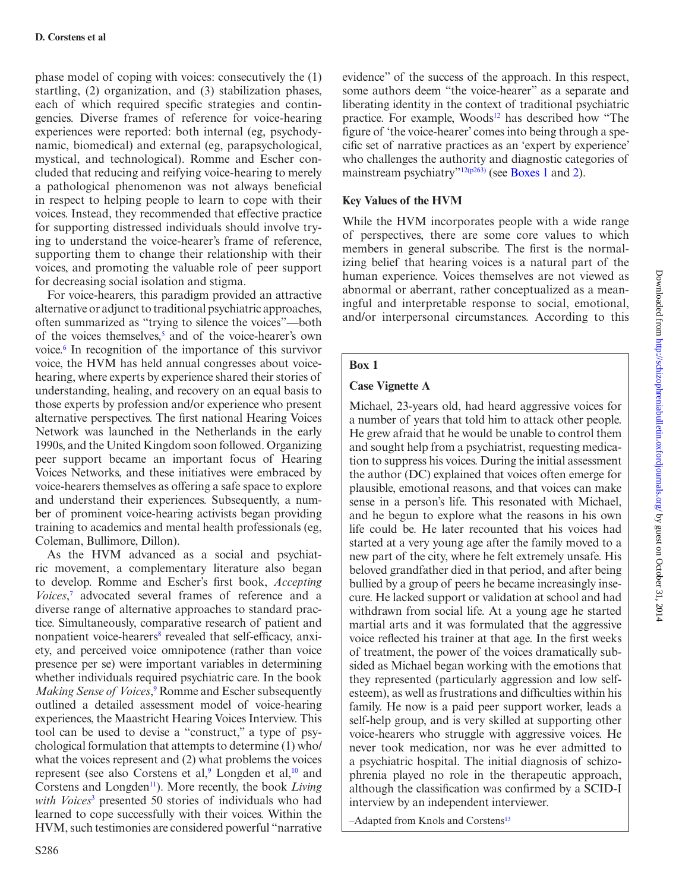phase model of coping with voices: consecutively the (1) startling, (2) organization, and (3) stabilization phases, each of which required specific strategies and contingencies. Diverse frames of reference for voice-hearing experiences were reported: both internal (eg, psychodynamic, biomedical) and external (eg, parapsychological, mystical, and technological). Romme and Escher concluded that reducing and reifying voice-hearing to merely a pathological phenomenon was not always beneficial in respect to helping people to learn to cope with their voices. Instead, they recommended that effective practice for supporting distressed individuals should involve trying to understand the voice-hearer's frame of reference, supporting them to change their relationship with their voices, and promoting the valuable role of peer support for decreasing social isolation and stigma.

For voice-hearers, this paradigm provided an attractive alternative or adjunct to traditional psychiatric approaches, often summarized as "trying to silence the voices"—both of the voices themselves, $5$  and of the voice-hearer's own voice[.6](#page-7-3) In recognition of the importance of this survivor voice, the HVM has held annual congresses about voicehearing, where experts by experience shared their stories of understanding, healing, and recovery on an equal basis to those experts by profession and/or experience who present alternative perspectives. The first national Hearing Voices Network was launched in the Netherlands in the early 1990s, and the United Kingdom soon followed. Organizing peer support became an important focus of Hearing Voices Networks, and these initiatives were embraced by voice-hearers themselves as offering a safe space to explore and understand their experiences. Subsequently, a number of prominent voice-hearing activists began providing training to academics and mental health professionals (eg, Coleman, Bullimore, Dillon).

As the HVM advanced as a social and psychiatric movement, a complementary literature also began to develop. Romme and Escher's first book, *Accepting Voices*, [7](#page-7-4) advocated several frames of reference and a diverse range of alternative approaches to standard practice. Simultaneously, comparative research of patient and nonpatient voice-hearers<sup>[8](#page-7-5)</sup> revealed that self-efficacy, anxiety, and perceived voice omnipotence (rather than voice presence per se) were important variables in determining whether individuals required psychiatric care. In the book *Making Sense of Voices*,<sup>[9](#page-7-6)</sup> Romme and Escher subsequently outlined a detailed assessment model of voice-hearing experiences, the Maastricht Hearing Voices Interview. This tool can be used to devise a "construct," a type of psychological formulation that attempts to determine (1) who/ what the voices represent and (2) what problems the voices represent (see also Corstens et al, $9$  Longden et al, $10$  and Corstens and Longden<sup>11</sup>). More recently, the book *Living* with *Voices*<sup>[3](#page-7-8)</sup> presented 50 stories of individuals who had learned to cope successfully with their voices. Within the HVM, such testimonies are considered powerful "narrative

evidence" of the success of the approach. In this respect, some authors deem "the voice-hearer" as a separate and liberating identity in the context of traditional psychiatric practice. For example, Woods<sup>12</sup> has described how "The figure of 'the voice-hearer' comes into being through a specific set of narrative practices as an 'expert by experience' who challenges the authority and diagnostic categories of mainstream psychiatry"<sup>[12\(p263\)](#page-8-1)</sup> (see [Boxes 1](#page-1-0) and [2\)](#page-2-0).

### **Key Values of the HVM**

While the HVM incorporates people with a wide range of perspectives, there are some core values to which members in general subscribe. The first is the normalizing belief that hearing voices is a natural part of the human experience. Voices themselves are not viewed as abnormal or aberrant, rather conceptualized as a meaningful and interpretable response to social, emotional, and/or interpersonal circumstances. According to this

### <span id="page-1-0"></span>**Box 1**

### **Case Vignette A**

Michael, 23-years old, had heard aggressive voices for a number of years that told him to attack other people. He grew afraid that he would be unable to control them and sought help from a psychiatrist, requesting medication to suppress his voices. During the initial assessment the author (DC) explained that voices often emerge for plausible, emotional reasons, and that voices can make sense in a person's life. This resonated with Michael, and he begun to explore what the reasons in his own life could be. He later recounted that his voices had started at a very young age after the family moved to a new part of the city, where he felt extremely unsafe. His beloved grandfather died in that period, and after being bullied by a group of peers he became increasingly insecure. He lacked support or validation at school and had withdrawn from social life. At a young age he started martial arts and it was formulated that the aggressive voice reflected his trainer at that age. In the first weeks of treatment, the power of the voices dramatically subsided as Michael began working with the emotions that they represented (particularly aggression and low selfesteem), as well as frustrations and difficulties within his family. He now is a paid peer support worker, leads a self-help group, and is very skilled at supporting other voice-hearers who struggle with aggressive voices. He never took medication, nor was he ever admitted to a psychiatric hospital. The initial diagnosis of schizophrenia played no role in the therapeutic approach, although the classification was confirmed by a SCID-I interview by an independent interviewer.

-Adapted from Knols and Corstens<sup>13</sup>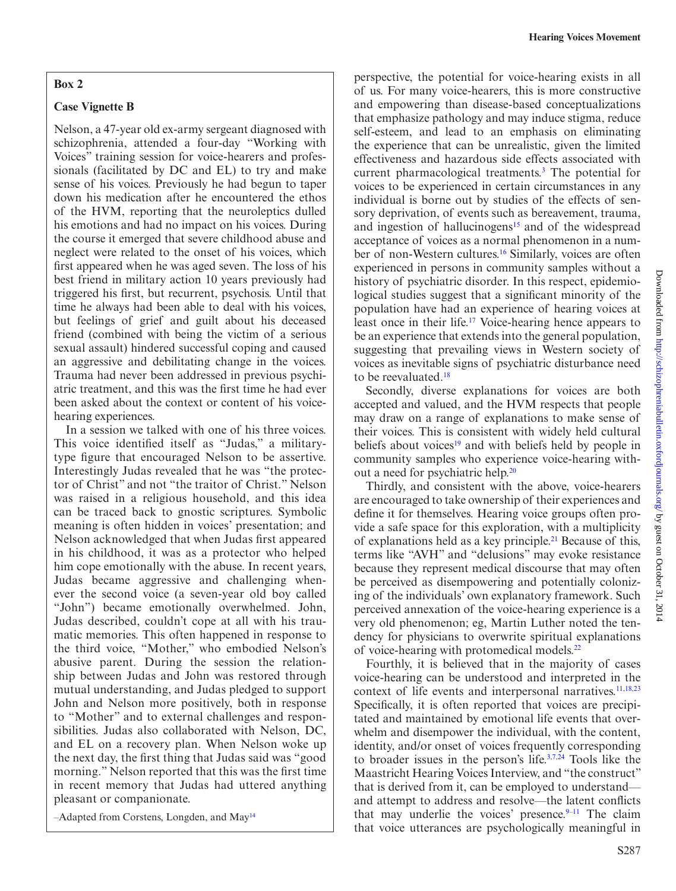# <span id="page-2-0"></span>**Box 2**

## **Case Vignette B**

Nelson, a 47-year old ex-army sergeant diagnosed with schizophrenia, attended a four-day "Working with Voices" training session for voice-hearers and professionals (facilitated by DC and EL) to try and make sense of his voices. Previously he had begun to taper down his medication after he encountered the ethos of the HVM, reporting that the neuroleptics dulled his emotions and had no impact on his voices. During the course it emerged that severe childhood abuse and neglect were related to the onset of his voices, which first appeared when he was aged seven. The loss of his best friend in military action 10 years previously had triggered his first, but recurrent, psychosis. Until that time he always had been able to deal with his voices, but feelings of grief and guilt about his deceased friend (combined with being the victim of a serious sexual assault) hindered successful coping and caused an aggressive and debilitating change in the voices. Trauma had never been addressed in previous psychiatric treatment, and this was the first time he had ever been asked about the context or content of his voicehearing experiences.

In a session we talked with one of his three voices. This voice identified itself as "Judas," a militarytype figure that encouraged Nelson to be assertive. Interestingly Judas revealed that he was "the protector of Christ" and not "the traitor of Christ." Nelson was raised in a religious household, and this idea can be traced back to gnostic scriptures. Symbolic meaning is often hidden in voices' presentation; and Nelson acknowledged that when Judas first appeared in his childhood, it was as a protector who helped him cope emotionally with the abuse. In recent years, Judas became aggressive and challenging whenever the second voice (a seven-year old boy called "John") became emotionally overwhelmed. John, Judas described, couldn't cope at all with his traumatic memories. This often happened in response to the third voice, "Mother," who embodied Nelson's abusive parent. During the session the relationship between Judas and John was restored through mutual understanding, and Judas pledged to support John and Nelson more positively, both in response to "Mother" and to external challenges and responsibilities. Judas also collaborated with Nelson, DC, and EL on a recovery plan. When Nelson woke up the next day, the first thing that Judas said was "good morning." Nelson reported that this was the first time in recent memory that Judas had uttered anything pleasant or companionate.

–Adapted from Corstens, Longden, and May<sup>14</sup>

perspective, the potential for voice-hearing exists in all of us. For many voice-hearers, this is more constructive and empowering than disease-based conceptualizations that emphasize pathology and may induce stigma, reduce self-esteem, and lead to an emphasis on eliminating the experience that can be unrealistic, given the limited effectiveness and hazardous side effects associated with current pharmacological treatments[.3](#page-7-8) The potential for voices to be experienced in certain circumstances in any individual is borne out by studies of the effects of sensory deprivation, of events such as bereavement, trauma, and ingestion of hallucinogens<sup>15</sup> and of the widespread acceptance of voices as a normal phenomenon in a num-ber of non-Western cultures.<sup>[16](#page-8-4)</sup> Similarly, voices are often experienced in persons in community samples without a history of psychiatric disorder. In this respect, epidemiological studies suggest that a significant minority of the population have had an experience of hearing voices at least once in their life.[17](#page-8-5) Voice-hearing hence appears to be an experience that extends into the general population, suggesting that prevailing views in Western society of voices as inevitable signs of psychiatric disturbance need to be reevaluated.[18](#page-8-6)

Secondly, diverse explanations for voices are both accepted and valued, and the HVM respects that people may draw on a range of explanations to make sense of their voices. This is consistent with widely held cultural beliefs about voices<sup>[19](#page-8-7)</sup> and with beliefs held by people in community samples who experience voice-hearing without a need for psychiatric help.<sup>20</sup>

Thirdly, and consistent with the above, voice-hearers are encouraged to take ownership of their experiences and define it for themselves. Hearing voice groups often provide a safe space for this exploration, with a multiplicity of explanations held as a key principle[.21](#page-8-9) Because of this, terms like "AVH" and "delusions" may evoke resistance because they represent medical discourse that may often be perceived as disempowering and potentially colonizing of the individuals' own explanatory framework. Such perceived annexation of the voice-hearing experience is a very old phenomenon; eg, Martin Luther noted the tendency for physicians to overwrite spiritual explanations of voice-hearing with protomedical models.<sup>22</sup>

Fourthly, it is believed that in the majority of cases voice-hearing can be understood and interpreted in the context of life events and interpersonal narratives.<sup>11[,18](#page-8-6),[23](#page-8-11)</sup> Specifically, it is often reported that voices are precipitated and maintained by emotional life events that overwhelm and disempower the individual, with the content, identity, and/or onset of voices frequently corresponding to broader issues in the person's life.[3,](#page-7-8)[7](#page-7-4)[,24](#page-8-12) Tools like the Maastricht Hearing Voices Interview, and "the construct" that is derived from it, can be employed to understand and attempt to address and resolve—the latent conflicts that may underlie the voices' presence. $9-11$  The claim that voice utterances are psychologically meaningful in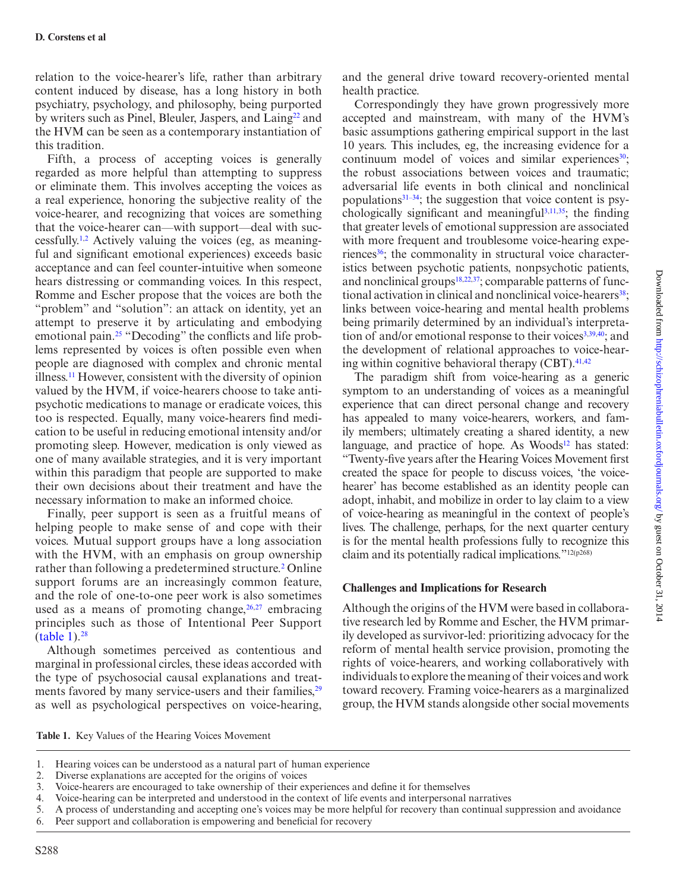relation to the voice-hearer's life, rather than arbitrary content induced by disease, has a long history in both psychiatry, psychology, and philosophy, being purported by writers such as Pinel, Bleuler, Jaspers, and Laing<sup>22</sup> and the HVM can be seen as a contemporary instantiation of this tradition.

Fifth, a process of accepting voices is generally regarded as more helpful than attempting to suppress or eliminate them. This involves accepting the voices as a real experience, honoring the subjective reality of the voice-hearer, and recognizing that voices are something that the voice-hearer can—with support—deal with successfully.[1,](#page-7-0)[2](#page-7-9) Actively valuing the voices (eg, as meaningful and significant emotional experiences) exceeds basic acceptance and can feel counter-intuitive when someone hears distressing or commanding voices. In this respect, Romme and Escher propose that the voices are both the "problem" and "solution": an attack on identity, yet an attempt to preserve it by articulating and embodying emotional pain.<sup>25</sup> "Decoding" the conflicts and life problems represented by voices is often possible even when people are diagnosed with complex and chronic mental illness[.11](#page-8-0) However, consistent with the diversity of opinion valued by the HVM, if voice-hearers choose to take antipsychotic medications to manage or eradicate voices, this too is respected. Equally, many voice-hearers find medication to be useful in reducing emotional intensity and/or promoting sleep. However, medication is only viewed as one of many available strategies, and it is very important within this paradigm that people are supported to make their own decisions about their treatment and have the necessary information to make an informed choice.

Finally, peer support is seen as a fruitful means of helping people to make sense of and cope with their voices. Mutual support groups have a long association with the HVM, with an emphasis on group ownership rather than following a predetermined structure.<sup>[2](#page-7-9)</sup> Online support forums are an increasingly common feature, and the role of one-to-one peer work is also sometimes used as a means of promoting change,  $26,27$  embracing principles such as those of Intentional Peer Support  $(table 1).<sup>28</sup>$  $(table 1).<sup>28</sup>$  $(table 1).<sup>28</sup>$  $(table 1).<sup>28</sup>$ 

Although sometimes perceived as contentious and marginal in professional circles, these ideas accorded with the type of psychosocial causal explanations and treat-ments favored by many service-users and their families, <sup>[29](#page-8-18)</sup> as well as psychological perspectives on voice-hearing, and the general drive toward recovery-oriented mental health practice.

Correspondingly they have grown progressively more accepted and mainstream, with many of the HVM's basic assumptions gathering empirical support in the last 10 years. This includes, eg, the increasing evidence for a continuum model of voices and similar experiences $30$ ; the robust associations between voices and traumatic; adversarial life events in both clinical and nonclinical population[s31–34](#page-8-20); the suggestion that voice content is psychologically significant and meaningful $3,11,35$  $3,11,35$  $3,11,35$ ; the finding that greater levels of emotional suppression are associated with more frequent and troublesome voice-hearing experiences<sup>36</sup>; the commonality in structural voice characteristics between psychotic patients, nonpsychotic patients, and nonclinical groups<sup>18,[22](#page-8-10),37</sup>; comparable patterns of functional activation in clinical and nonclinical voice-hearers<sup>38</sup>; links between voice-hearing and mental health problems being primarily determined by an individual's interpreta-tion of and/or emotional response to their voices<sup>[3](#page-7-8)[,39](#page-8-25)[,40](#page-8-26)</sup>; and the development of relational approaches to voice-hearing within cognitive behavioral therapy  $(CBT)$ .  $41,42$  $41,42$ 

The paradigm shift from voice-hearing as a generic symptom to an understanding of voices as a meaningful experience that can direct personal change and recovery has appealed to many voice-hearers, workers, and family members; ultimately creating a shared identity, a new language, and practice of hope. As  $Woods^{12}$  has stated: "Twenty-five years after the Hearing Voices Movement first created the space for people to discuss voices, 'the voicehearer' has become established as an identity people can adopt, inhabit, and mobilize in order to lay claim to a view of voice-hearing as meaningful in the context of people's lives. The challenge, perhaps, for the next quarter century is for the mental health professions fully to recognize this claim and its potentially radical implications."<sup>12(p268)</sup>

### **Challenges and Implications for Research**

Although the origins of the HVM were based in collaborative research led by Romme and Escher, the HVM primarily developed as survivor-led: prioritizing advocacy for the reform of mental health service provision, promoting the rights of voice-hearers, and working collaboratively with individuals to explore the meaning of their voices and work toward recovery. Framing voice-hearers as a marginalized group, the HVM stands alongside other social movements

<span id="page-3-0"></span>**Table 1.** Key Values of the Hearing Voices Movement

6. Peer support and collaboration is empowering and beneficial for recovery

<sup>1.</sup> Hearing voices can be understood as a natural part of human experience

<sup>2.</sup> Diverse explanations are accepted for the origins of voices<br>3. Voice-hearers are encouraged to take ownership of their ex

<sup>3.</sup> Voice-hearers are encouraged to take ownership of their experiences and define it for themselves

<sup>4.</sup> Voice-hearing can be interpreted and understood in the context of life events and interpersonal narratives

<sup>5.</sup> A process of understanding and accepting one's voices may be more helpful for recovery than continual suppression and avoidance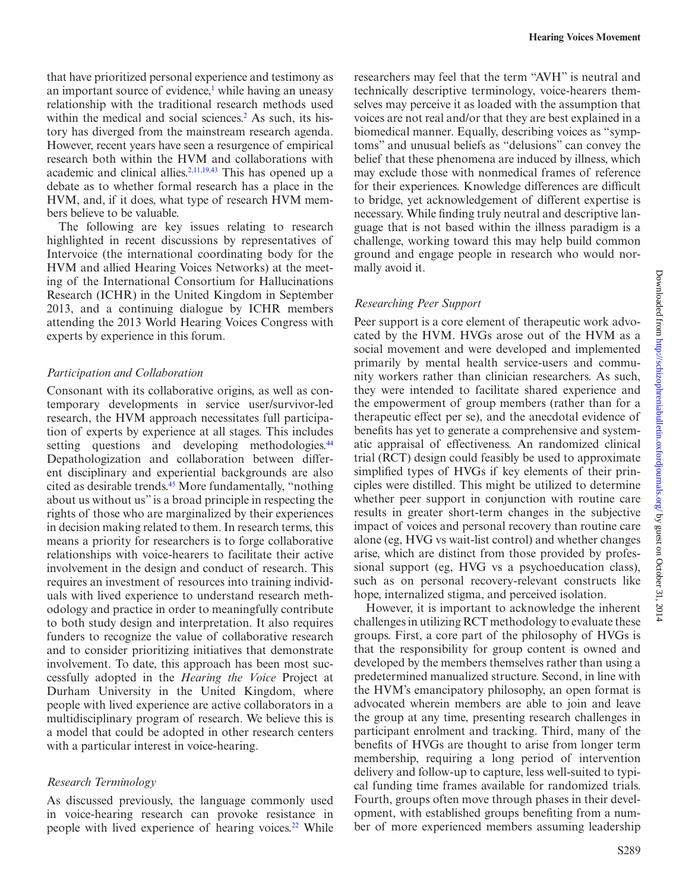that have prioritized personal experience and testimony as an important source of evidence,<sup>[1](#page-7-0)</sup> while having an uneasy relationship with the traditional research methods used within the medical and social sciences.<sup>2</sup> As such, its history has diverged from the mainstream research agenda. However, recent years have seen a resurgence of empirical research both within the HVM and collaborations with academic and clinical allies[.2](#page-7-9)[,11](#page-8-0),[19](#page-8-7)[,43](#page-8-29) This has opened up a debate as to whether formal research has a place in the HVM, and, if it does, what type of research HVM members believe to be valuable.

The following are key issues relating to research highlighted in recent discussions by representatives of Intervoice (the international coordinating body for the HVM and allied Hearing Voices Networks) at the meeting of the International Consortium for Hallucinations Research (ICHR) in the United Kingdom in September 2013, and a continuing dialogue by ICHR members attending the 2013 World Hearing Voices Congress with experts by experience in this forum.

#### *Participation and Collaboration*

Consonant with its collaborative origins, as well as contemporary developments in service user/survivor-led research, the HVM approach necessitates full participation of experts by experience at all stages. This includes setting questions and developing methodologies.<sup>[44](#page-8-30)</sup> Depathologization and collaboration between different disciplinary and experiential backgrounds are also cited as desirable trends[.45](#page-8-31) More fundamentally, "nothing about us without us" is a broad principle in respecting the rights of those who are marginalized by their experiences in decision making related to them. In research terms, this means a priority for researchers is to forge collaborative relationships with voice-hearers to facilitate their active involvement in the design and conduct of research. This requires an investment of resources into training individuals with lived experience to understand research methodology and practice in order to meaningfully contribute to both study design and interpretation. It also requires funders to recognize the value of collaborative research and to consider prioritizing initiatives that demonstrate involvement. To date, this approach has been most successfully adopted in the *Hearing the Voice* Project at Durham University in the United Kingdom, where people with lived experience are active collaborators in a multidisciplinary program of research. We believe this is a model that could be adopted in other research centers with a particular interest in voice-hearing.

#### *Research Terminology*

As discussed previously, the language commonly used in voice-hearing research can provoke resistance in people with lived experience of hearing voices.<sup>22</sup> While researchers may feel that the term "AVH" is neutral and technically descriptive terminology, voice-hearers themselves may perceive it as loaded with the assumption that voices are not real and/or that they are best explained in a biomedical manner. Equally, describing voices as "symptoms" and unusual beliefs as "delusions" can convey the belief that these phenomena are induced by illness, which may exclude those with nonmedical frames of reference for their experiences. Knowledge differences are difficult to bridge, yet acknowledgement of different expertise is necessary. While finding truly neutral and descriptive language that is not based within the illness paradigm is a challenge, working toward this may help build common ground and engage people in research who would normally avoid it.

#### *Researching Peer Support*

Peer support is a core element of therapeutic work advocated by the HVM. HVGs arose out of the HVM as a social movement and were developed and implemented primarily by mental health service-users and community workers rather than clinician researchers. As such, they were intended to facilitate shared experience and the empowerment of group members (rather than for a therapeutic effect per se), and the anecdotal evidence of benefits has yet to generate a comprehensive and systematic appraisal of effectiveness. An randomized clinical trial (RCT) design could feasibly be used to approximate simplified types of HVGs if key elements of their principles were distilled. This might be utilized to determine whether peer support in conjunction with routine care results in greater short-term changes in the subjective impact of voices and personal recovery than routine care alone (eg, HVG vs wait-list control) and whether changes arise, which are distinct from those provided by professional support (eg, HVG vs a psychoeducation class), such as on personal recovery-relevant constructs like hope, internalized stigma, and perceived isolation.

However, it is important to acknowledge the inherent challenges in utilizing RCT methodology to evaluate these groups. First, a core part of the philosophy of HVGs is that the responsibility for group content is owned and developed by the members themselves rather than using a predetermined manualized structure. Second, in line with the HVM's emancipatory philosophy, an open format is advocated wherein members are able to join and leave the group at any time, presenting research challenges in participant enrolment and tracking. Third, many of the benefits of HVGs are thought to arise from longer term membership, requiring a long period of intervention delivery and follow-up to capture, less well-suited to typical funding time frames available for randomized trials. Fourth, groups often move through phases in their development, with established groups benefiting from a number of more experienced members assuming leadership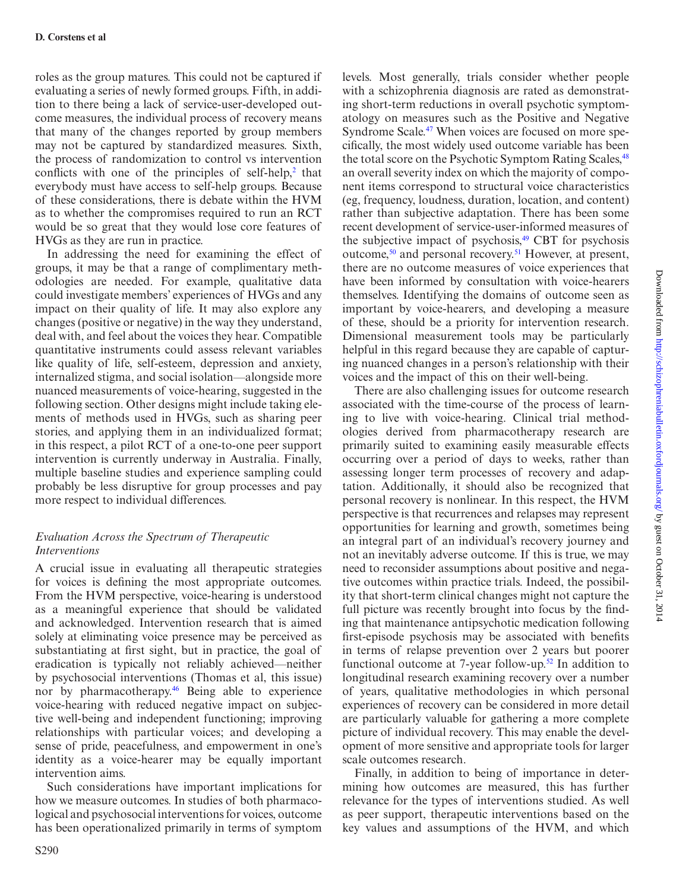roles as the group matures. This could not be captured if evaluating a series of newly formed groups. Fifth, in addition to there being a lack of service-user-developed outcome measures, the individual process of recovery means that many of the changes reported by group members may not be captured by standardized measures. Sixth, the process of randomization to control vs intervention conflicts with one of the principles of self-help, $2$  that everybody must have access to self-help groups. Because of these considerations, there is debate within the HVM as to whether the compromises required to run an RCT would be so great that they would lose core features of HVGs as they are run in practice.

In addressing the need for examining the effect of groups, it may be that a range of complimentary methodologies are needed. For example, qualitative data could investigate members' experiences of HVGs and any impact on their quality of life. It may also explore any changes (positive or negative) in the way they understand, deal with, and feel about the voices they hear. Compatible quantitative instruments could assess relevant variables like quality of life, self-esteem, depression and anxiety, internalized stigma, and social isolation—alongside more nuanced measurements of voice-hearing, suggested in the following section. Other designs might include taking elements of methods used in HVGs, such as sharing peer stories, and applying them in an individualized format; in this respect, a pilot RCT of a one-to-one peer support intervention is currently underway in Australia. Finally, multiple baseline studies and experience sampling could probably be less disruptive for group processes and pay more respect to individual differences.

### *Evaluation Across the Spectrum of Therapeutic Interventions*

A crucial issue in evaluating all therapeutic strategies for voices is defining the most appropriate outcomes. From the HVM perspective, voice-hearing is understood as a meaningful experience that should be validated and acknowledged. Intervention research that is aimed solely at eliminating voice presence may be perceived as substantiating at first sight, but in practice, the goal of eradication is typically not reliably achieved—neither by psychosocial interventions (Thomas et al, this issue) nor by pharmacotherapy[.46](#page-8-32) Being able to experience voice-hearing with reduced negative impact on subjective well-being and independent functioning; improving relationships with particular voices; and developing a sense of pride, peacefulness, and empowerment in one's identity as a voice-hearer may be equally important intervention aims.

Such considerations have important implications for how we measure outcomes. In studies of both pharmacological and psychosocial interventions for voices, outcome has been operationalized primarily in terms of symptom levels. Most generally, trials consider whether people with a schizophrenia diagnosis are rated as demonstrating short-term reductions in overall psychotic symptomatology on measures such as the Positive and Negative Syndrome Scale.<sup>47</sup> When voices are focused on more specifically, the most widely used outcome variable has been the total score on the Psychotic Symptom Rating Scales, [48](#page-8-34) an overall severity index on which the majority of component items correspond to structural voice characteristics (eg, frequency, loudness, duration, location, and content) rather than subjective adaptation. There has been some recent development of service-user-informed measures of the subjective impact of psychosis, $49$  CBT for psychosis outcome,[50](#page-9-0) and personal recovery.[51](#page-9-1) However, at present, there are no outcome measures of voice experiences that have been informed by consultation with voice-hearers themselves. Identifying the domains of outcome seen as important by voice-hearers, and developing a measure of these, should be a priority for intervention research. Dimensional measurement tools may be particularly helpful in this regard because they are capable of capturing nuanced changes in a person's relationship with their voices and the impact of this on their well-being.

There are also challenging issues for outcome research associated with the time-course of the process of learning to live with voice-hearing. Clinical trial methodologies derived from pharmacotherapy research are primarily suited to examining easily measurable effects occurring over a period of days to weeks, rather than assessing longer term processes of recovery and adaptation. Additionally, it should also be recognized that personal recovery is nonlinear. In this respect, the HVM perspective is that recurrences and relapses may represent opportunities for learning and growth, sometimes being an integral part of an individual's recovery journey and not an inevitably adverse outcome. If this is true, we may need to reconsider assumptions about positive and negative outcomes within practice trials. Indeed, the possibility that short-term clinical changes might not capture the full picture was recently brought into focus by the finding that maintenance antipsychotic medication following first-episode psychosis may be associated with benefits in terms of relapse prevention over 2 years but poorer functional outcome at 7-year follow-up. $52$  In addition to longitudinal research examining recovery over a number of years, qualitative methodologies in which personal experiences of recovery can be considered in more detail are particularly valuable for gathering a more complete picture of individual recovery. This may enable the development of more sensitive and appropriate tools for larger scale outcomes research.

Finally, in addition to being of importance in determining how outcomes are measured, this has further relevance for the types of interventions studied. As well as peer support, therapeutic interventions based on the key values and assumptions of the HVM, and which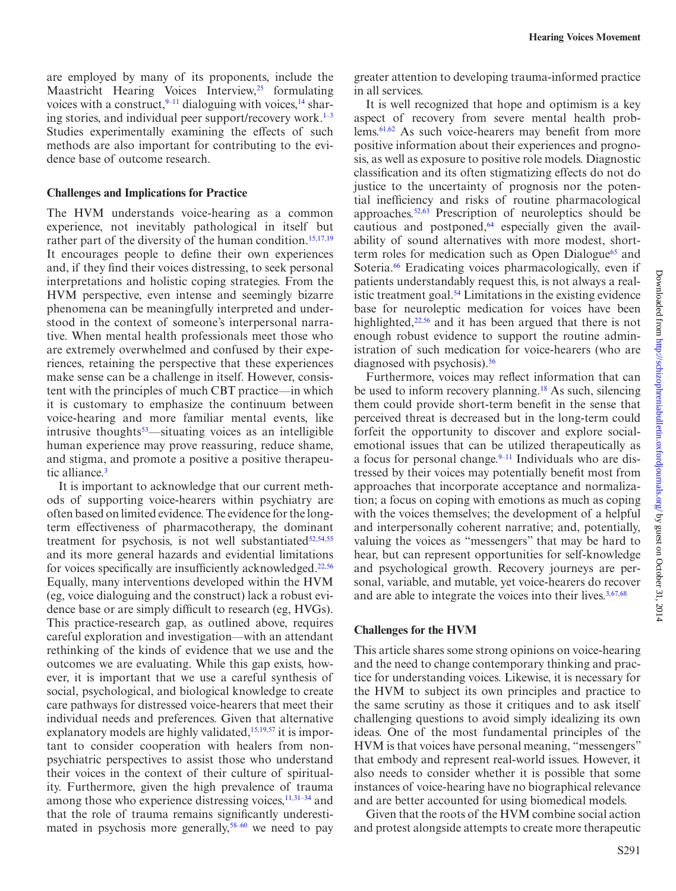are employed by many of its proponents, include the Maastricht Hearing Voices Interview, $25$  formulating voices with a construct, $9-11$  dialoguing with voices,<sup>14</sup> sharing stories, and individual peer support/recovery work. $1-3$ Studies experimentally examining the effects of such methods are also important for contributing to the evidence base of outcome research.

#### **Challenges and Implications for Practice**

The HVM understands voice-hearing as a common experience, not inevitably pathological in itself but rather part of the diversity of the human condition.<sup>15,[17](#page-8-5),[19](#page-8-7)</sup> It encourages people to define their own experiences and, if they find their voices distressing, to seek personal interpretations and holistic coping strategies. From the HVM perspective, even intense and seemingly bizarre phenomena can be meaningfully interpreted and understood in the context of someone's interpersonal narrative. When mental health professionals meet those who are extremely overwhelmed and confused by their experiences, retaining the perspective that these experiences make sense can be a challenge in itself. However, consistent with the principles of much CBT practice—in which it is customary to emphasize the continuum between voice-hearing and more familiar mental events, like intrusive thoughts $53$ —situating voices as an intelligible human experience may prove reassuring, reduce shame, and stigma, and promote a positive a positive therapeu-tic alliance.<sup>[3](#page-7-8)</sup>

It is important to acknowledge that our current methods of supporting voice-hearers within psychiatry are often based on limited evidence. The evidence for the longterm effectiveness of pharmacotherapy, the dominant treatment for psychosis, is not well substantiated $52,54,55$  $52,54,55$  $52,54,55$  $52,54,55$ and its more general hazards and evidential limitations for voices specifically are insufficiently acknowledged. $22,56$  $22,56$ Equally, many interventions developed within the HVM (eg, voice dialoguing and the construct) lack a robust evidence base or are simply difficult to research (eg, HVGs). This practice-research gap, as outlined above, requires careful exploration and investigation—with an attendant rethinking of the kinds of evidence that we use and the outcomes we are evaluating. While this gap exists, however, it is important that we use a careful synthesis of social, psychological, and biological knowledge to create care pathways for distressed voice-hearers that meet their individual needs and preferences. Given that alternative explanatory models are highly validated,  $15,19,57$  $15,19,57$  $15,19,57$  it is important to consider cooperation with healers from nonpsychiatric perspectives to assist those who understand their voices in the context of their culture of spirituality. Furthermore, given the high prevalence of trauma among those who experience distressing voices,<sup>11,31-34</sup> and that the role of trauma remains significantly underestimated in psychosis more generally,  $58-60$  we need to pay greater attention to developing trauma-informed practice in all services.

It is well recognized that hope and optimism is a key aspect of recovery from severe mental health problems[.61](#page-9-9)[,62](#page-9-10) As such voice-hearers may benefit from more positive information about their experiences and prognosis, as well as exposure to positive role models. Diagnostic classification and its often stigmatizing effects do not do justice to the uncertainty of prognosis nor the potential inefficiency and risks of routine pharmacological approaches.[52](#page-9-2)[,63](#page-9-11) Prescription of neuroleptics should be cautious and postponed, $64$  especially given the availability of sound alternatives with more modest, shortterm roles for medication such as Open Dialogue<sup>65</sup> and Soteria.<sup>66</sup> Eradicating voices pharmacologically, even if patients understandably request this, is not always a realistic treatment goal.<sup>54</sup> Limitations in the existing evidence base for neuroleptic medication for voices have been highlighted,<sup>22,[56](#page-9-6)</sup> and it has been argued that there is not enough robust evidence to support the routine administration of such medication for voice-hearers (who are diagnosed with psychosis).<sup>56</sup>

Furthermore, voices may reflect information that can be used to inform recovery planning.<sup>18</sup> As such, silencing them could provide short-term benefit in the sense that perceived threat is decreased but in the long-term could forfeit the opportunity to discover and explore socialemotional issues that can be utilized therapeutically as a focus for personal change. $9-11$  Individuals who are distressed by their voices may potentially benefit most from approaches that incorporate acceptance and normalization; a focus on coping with emotions as much as coping with the voices themselves; the development of a helpful and interpersonally coherent narrative; and, potentially, valuing the voices as "messengers" that may be hard to hear, but can represent opportunities for self-knowledge and psychological growth. Recovery journeys are personal, variable, and mutable, yet voice-hearers do recover and are able to integrate the voices into their lives.<sup>3[,67](#page-9-15),[68](#page-9-16)</sup>

#### **Challenges for the HVM**

This article shares some strong opinions on voice-hearing and the need to change contemporary thinking and practice for understanding voices. Likewise, it is necessary for the HVM to subject its own principles and practice to the same scrutiny as those it critiques and to ask itself challenging questions to avoid simply idealizing its own ideas. One of the most fundamental principles of the HVM is that voices have personal meaning, "messengers" that embody and represent real-world issues. However, it also needs to consider whether it is possible that some instances of voice-hearing have no biographical relevance and are better accounted for using biomedical models.

Given that the roots of the HVM combine social action and protest alongside attempts to create more therapeutic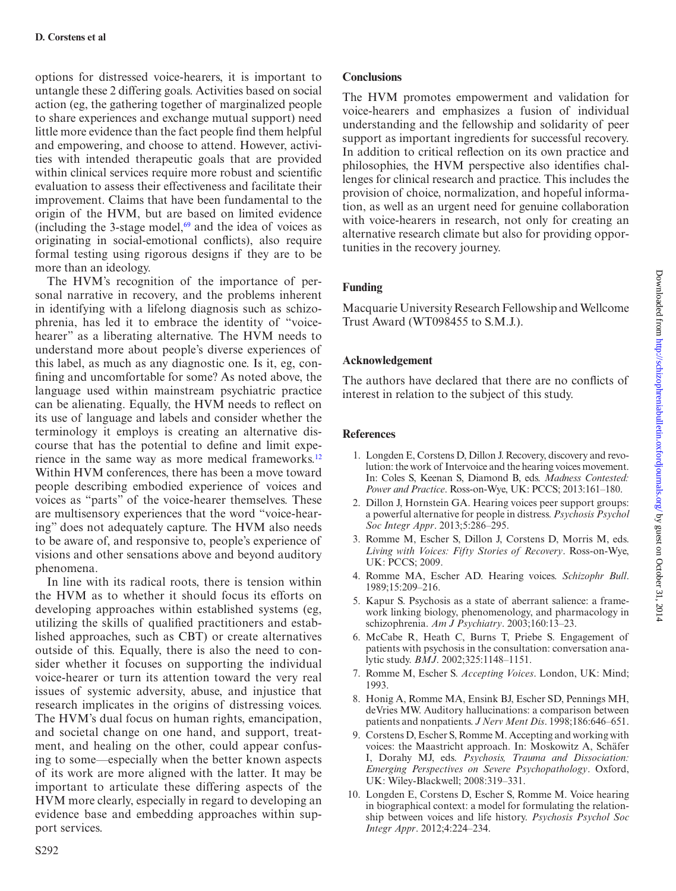options for distressed voice-hearers, it is important to untangle these 2 differing goals. Activities based on social action (eg, the gathering together of marginalized people to share experiences and exchange mutual support) need little more evidence than the fact people find them helpful and empowering, and choose to attend. However, activities with intended therapeutic goals that are provided within clinical services require more robust and scientific evaluation to assess their effectiveness and facilitate their improvement. Claims that have been fundamental to the origin of the HVM, but are based on limited evidence (including the 3-stage model, $69$  and the idea of voices as originating in social-emotional conflicts), also require formal testing using rigorous designs if they are to be more than an ideology.

The HVM's recognition of the importance of personal narrative in recovery, and the problems inherent in identifying with a lifelong diagnosis such as schizophrenia, has led it to embrace the identity of "voicehearer" as a liberating alternative. The HVM needs to understand more about people's diverse experiences of this label, as much as any diagnostic one. Is it, eg, confining and uncomfortable for some? As noted above, the language used within mainstream psychiatric practice can be alienating. Equally, the HVM needs to reflect on its use of language and labels and consider whether the terminology it employs is creating an alternative discourse that has the potential to define and limit expe-rience in the same way as more medical frameworks.<sup>[12](#page-8-1)</sup> Within HVM conferences, there has been a move toward people describing embodied experience of voices and voices as "parts" of the voice-hearer themselves. These are multisensory experiences that the word "voice-hearing" does not adequately capture. The HVM also needs to be aware of, and responsive to, people's experience of visions and other sensations above and beyond auditory phenomena.

In line with its radical roots, there is tension within the HVM as to whether it should focus its efforts on developing approaches within established systems (eg, utilizing the skills of qualified practitioners and established approaches, such as CBT) or create alternatives outside of this. Equally, there is also the need to consider whether it focuses on supporting the individual voice-hearer or turn its attention toward the very real issues of systemic adversity, abuse, and injustice that research implicates in the origins of distressing voices. The HVM's dual focus on human rights, emancipation, and societal change on one hand, and support, treatment, and healing on the other, could appear confusing to some—especially when the better known aspects of its work are more aligned with the latter. It may be important to articulate these differing aspects of the HVM more clearly, especially in regard to developing an evidence base and embedding approaches within support services.

### **Conclusions**

The HVM promotes empowerment and validation for voice-hearers and emphasizes a fusion of individual understanding and the fellowship and solidarity of peer support as important ingredients for successful recovery. In addition to critical reflection on its own practice and philosophies, the HVM perspective also identifies challenges for clinical research and practice. This includes the provision of choice, normalization, and hopeful information, as well as an urgent need for genuine collaboration with voice-hearers in research, not only for creating an alternative research climate but also for providing opportunities in the recovery journey.

### **Funding**

Macquarie University Research Fellowship and Wellcome Trust Award (WT098455 to S.M.J.).

### **Acknowledgement**

The authors have declared that there are no conflicts of interest in relation to the subject of this study.

### **References**

- <span id="page-7-0"></span>1. Longden E, Corstens D, Dillon J. Recovery, discovery and revolution: the work of Intervoice and the hearing voices movement. In: Coles S, Keenan S, Diamond B, eds. *Madness Contested: Power and Practice*. Ross-on-Wye, UK: PCCS; 2013:161–180.
- <span id="page-7-9"></span>2. Dillon J, Hornstein GA. Hearing voices peer support groups: a powerful alternative for people in distress. *Psychosis Psychol Soc Integr Appr*. 2013;5:286–295.
- <span id="page-7-8"></span>3. Romme M, Escher S, Dillon J, Corstens D, Morris M, eds. *Living with Voices: Fifty Stories of Recovery*. Ross-on-Wye, UK: PCCS; 2009.
- <span id="page-7-1"></span>4. Romme MA, Escher AD. Hearing voices. *Schizophr Bull*. 1989;15:209–216.
- <span id="page-7-2"></span>5. Kapur S. Psychosis as a state of aberrant salience: a framework linking biology, phenomenology, and pharmacology in schizophrenia. *Am J Psychiatry*. 2003;160:13–23.
- <span id="page-7-3"></span>6. McCabe R, Heath C, Burns T, Priebe S. Engagement of patients with psychosis in the consultation: conversation analytic study. *BMJ*. 2002;325:1148–1151.
- <span id="page-7-4"></span>7. Romme M, Escher S. *Accepting Voices*. London, UK: Mind; 1993.
- <span id="page-7-5"></span>8. Honig A, Romme MA, Ensink BJ, Escher SD, Pennings MH, deVries MW. Auditory hallucinations: a comparison between patients and nonpatients. *J Nerv Ment Dis*. 1998;186:646–651.
- <span id="page-7-6"></span>9. Corstens D, Escher S, Romme M. Accepting and working with voices: the Maastricht approach. In: Moskowitz A, Schäfer I, Dorahy MJ, eds. *Psychosis, Trauma and Dissociation: Emerging Perspectives on Severe Psychopathology*. Oxford, UK: Wiley-Blackwell; 2008:319–331.
- <span id="page-7-7"></span>10. Longden E, Corstens D, Escher S, Romme M. Voice hearing in biographical context: a model for formulating the relationship between voices and life history. *Psychosis Psychol Soc Integr Appr*. 2012;4:224–234.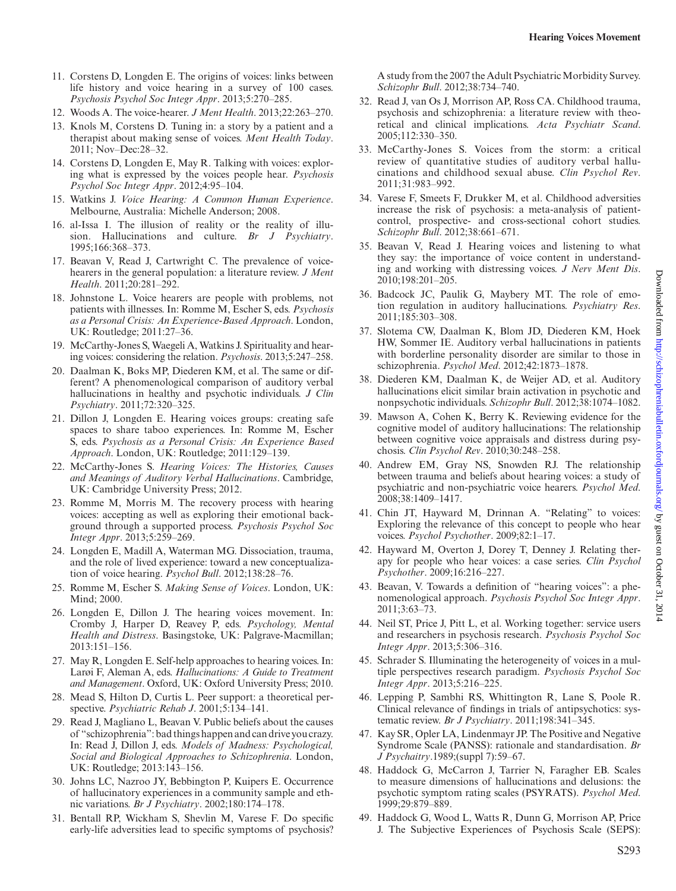- <span id="page-8-0"></span>11. Corstens D, Longden E. The origins of voices: links between life history and voice hearing in a survey of 100 cases. *Psychosis Psychol Soc Integr Appr*. 2013;5:270–285.
- <span id="page-8-1"></span>12. Woods A. The voice-hearer. *J Ment Health*. 2013;22:263–270.
- <span id="page-8-2"></span>13. Knols M, Corstens D. Tuning in: a story by a patient and a therapist about making sense of voices. *Ment Health Today*. 2011; Nov–Dec:28–32.
- <span id="page-8-13"></span>14. Corstens D, Longden E, May R. Talking with voices: exploring what is expressed by the voices people hear. *Psychosis Psychol Soc Integr Appr*. 2012;4:95–104.
- <span id="page-8-3"></span>15. Watkins J. *Voice Hearing: A Common Human Experience*. Melbourne, Australia: Michelle Anderson; 2008.
- <span id="page-8-4"></span>16. al-Issa I. The illusion of reality or the reality of illusion. Hallucinations and culture. *Br J Psychiatry*. 1995;166:368–373.
- <span id="page-8-5"></span>17. Beavan V, Read J, Cartwright C. The prevalence of voicehearers in the general population: a literature review. *J Ment Health*. 2011;20:281–292.
- <span id="page-8-6"></span>18. Johnstone L. Voice hearers are people with problems, not patients with illnesses. In: Romme M, Escher S, eds. *Psychosis as a Personal Crisis: An Experience-Based Approach*. London, UK: Routledge; 2011:27–36.
- <span id="page-8-7"></span>19. McCarthy-Jones S, Waegeli A, Watkins J. Spirituality and hearing voices: considering the relation. *Psychosis*. 2013;5:247–258.
- <span id="page-8-8"></span>20. Daalman K, Boks MP, Diederen KM, et al. The same or different? A phenomenological comparison of auditory verbal hallucinations in healthy and psychotic individuals. *J Clin Psychiatry*. 2011;72:320–325.
- <span id="page-8-9"></span>21. Dillon J, Longden E. Hearing voices groups: creating safe spaces to share taboo experiences. In: Romme M, Escher S, eds. *Psychosis as a Personal Crisis: An Experience Based Approach*. London, UK: Routledge; 2011:129–139.
- <span id="page-8-10"></span>22. McCarthy-Jones S. *Hearing Voices: The Histories, Causes and Meanings of Auditory Verbal Hallucinations*. Cambridge, UK: Cambridge University Press; 2012.
- <span id="page-8-11"></span>23. Romme M, Morris M. The recovery process with hearing voices: accepting as well as exploring their emotional background through a supported process. *Psychosis Psychol Soc Integr Appr*. 2013;5:259–269.
- <span id="page-8-12"></span>24. Longden E, Madill A, Waterman MG. Dissociation, trauma, and the role of lived experience: toward a new conceptualization of voice hearing. *Psychol Bull*. 2012;138:28–76.
- <span id="page-8-14"></span>25. Romme M, Escher S. *Making Sense of Voices*. London, UK: Mind; 2000.
- <span id="page-8-15"></span>26. Longden E, Dillon J. The hearing voices movement. In: Cromby J, Harper D, Reavey P, eds. *Psychology, Mental Health and Distress*. Basingstoke, UK: Palgrave-Macmillan; 2013:151–156.
- <span id="page-8-16"></span>27. May R, Longden E. Self-help approaches to hearing voices. In: Larøi F, Aleman A, eds. *Hallucinations: A Guide to Treatment and Management*. Oxford, UK: Oxford University Press; 2010.
- <span id="page-8-17"></span>28. Mead S, Hilton D, Curtis L. Peer support: a theoretical perspective. *Psychiatric Rehab J*. 2001;5:134–141.
- <span id="page-8-18"></span>29. Read J, Magliano L, Beavan V. Public beliefs about the causes of "schizophrenia": bad things happen and can drive you crazy. In: Read J, Dillon J, eds. *Models of Madness: Psychological, Social and Biological Approaches to Schizophrenia*. London, UK: Routledge; 2013:143–156.
- <span id="page-8-19"></span>30. Johns LC, Nazroo JY, Bebbington P, Kuipers E. Occurrence of hallucinatory experiences in a community sample and ethnic variations. *Br J Psychiatry*. 2002;180:174–178.
- <span id="page-8-20"></span>31. Bentall RP, Wickham S, Shevlin M, Varese F. Do specific early-life adversities lead to specific symptoms of psychosis?

A study from the 2007 the Adult Psychiatric Morbidity Survey. *Schizophr Bull*. 2012;38:734–740.

- 32. Read J, van Os J, Morrison AP, Ross CA. Childhood trauma, psychosis and schizophrenia: a literature review with theoretical and clinical implications. *Acta Psychiatr Scand*. 2005;112:330–350.
- 33. McCarthy-Jones S. Voices from the storm: a critical review of quantitative studies of auditory verbal hallucinations and childhood sexual abuse. *Clin Psychol Rev*. 2011;31:983–992.
- 34. Varese F, Smeets F, Drukker M, et al. Childhood adversities increase the risk of psychosis: a meta-analysis of patientcontrol, prospective- and cross-sectional cohort studies. *Schizophr Bull*. 2012;38:661–671.
- <span id="page-8-21"></span>35. Beavan V, Read J. Hearing voices and listening to what they say: the importance of voice content in understanding and working with distressing voices. *J Nerv Ment Dis*. 2010;198:201–205.
- <span id="page-8-22"></span>36. Badcock JC, Paulik G, Maybery MT. The role of emotion regulation in auditory hallucinations. *Psychiatry Res*. 2011;185:303–308.
- <span id="page-8-23"></span>37. Slotema CW, Daalman K, Blom JD, Diederen KM, Hoek HW, Sommer IE. Auditory verbal hallucinations in patients with borderline personality disorder are similar to those in schizophrenia. *Psychol Med*. 2012;42:1873–1878.
- <span id="page-8-24"></span>38. Diederen KM, Daalman K, de Weijer AD, et al. Auditory hallucinations elicit similar brain activation in psychotic and nonpsychotic individuals. *Schizophr Bull*. 2012;38:1074–1082.
- <span id="page-8-25"></span>39. Mawson A, Cohen K, Berry K. Reviewing evidence for the cognitive model of auditory hallucinations: The relationship between cognitive voice appraisals and distress during psychosis. *Clin Psychol Rev*. 2010;30:248–258.
- <span id="page-8-26"></span>40. Andrew EM, Gray NS, Snowden RJ. The relationship between trauma and beliefs about hearing voices: a study of psychiatric and non-psychiatric voice hearers. *Psychol Med*. 2008;38:1409–1417.
- <span id="page-8-27"></span>41. Chin JT, Hayward M, Drinnan A. "Relating" to voices: Exploring the relevance of this concept to people who hear voices. *Psychol Psychother*. 2009;82:1–17.
- <span id="page-8-28"></span>42. Hayward M, Overton J, Dorey T, Denney J. Relating therapy for people who hear voices: a case series. *Clin Psychol Psychother*. 2009;16:216–227.
- <span id="page-8-29"></span>43. Beavan, V. Towards a definition of "hearing voices": a phenomenological approach. *Psychosis Psychol Soc Integr Appr*. 2011;3:63–73.
- <span id="page-8-30"></span>44. Neil ST, Price J, Pitt L, et al. Working together: service users and researchers in psychosis research. *Psychosis Psychol Soc Integr Appr*. 2013;5:306–316.
- <span id="page-8-31"></span>45. Schrader S. Illuminating the heterogeneity of voices in a multiple perspectives research paradigm. *Psychosis Psychol Soc Integr Appr*. 2013;5:216–225.
- <span id="page-8-32"></span>46. Lepping P, Sambhi RS, Whittington R, Lane S, Poole R. Clinical relevance of findings in trials of antipsychotics: systematic review. *Br J Psychiatry*. 2011;198:341–345.
- <span id="page-8-33"></span>47. Kay SR, Opler LA, Lindenmayr JP. The Positive and Negative Syndrome Scale (PANSS): rationale and standardisation. *Br J Psychaitry*.1989;(suppl 7):59–67.
- <span id="page-8-34"></span>48. Haddock G, McCarron J, Tarrier N, Faragher EB. Scales to measure dimensions of hallucinations and delusions: the psychotic symptom rating scales (PSYRATS). *Psychol Med*. 1999;29:879–889.
- <span id="page-8-35"></span>49. Haddock G, Wood L, Watts R, Dunn G, Morrison AP, Price J. The Subjective Experiences of Psychosis Scale (SEPS):